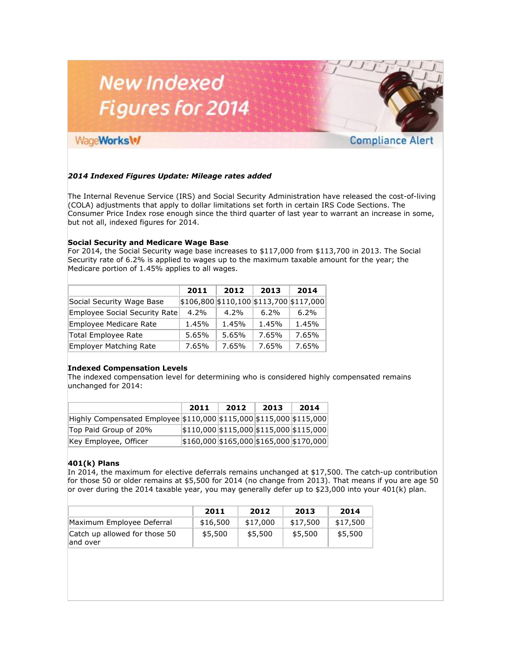# **New Indexed Figures for 2014**

# WageWorks\%

# **Compliance Alert**

## *2014 Indexed Figures Update: Mileage rates added*

The Internal Revenue Service (IRS) and Social Security Administration have released the cost-of-living (COLA) adjustments that apply to dollar limitations set forth in certain IRS Code Sections. The Consumer Price Index rose enough since the third quarter of last year to warrant an increase in some, but not all, indexed figures for 2014.

#### **Social Security and Medicare Wage Base**

For 2014, the Social Security wage base increases to \$117,000 from \$113,700 in 2013. The Social Security rate of 6.2% is applied to wages up to the maximum taxable amount for the year; the Medicare portion of 1.45% applies to all wages.

|                               | 2011  | 2012                                            | 2013  | 2014  |
|-------------------------------|-------|-------------------------------------------------|-------|-------|
| Social Security Wage Base     |       | $\frac{15106,800}{110,100}$ \$113,700 \$117,000 |       |       |
| Employee Social Security Rate | 4.2%  | $4.2\%$                                         | 6.2%  | 6.2%  |
| Employee Medicare Rate        | 1.45% | 1.45%                                           | 1.45% | 1.45% |
| <b>Total Employee Rate</b>    | 5.65% | 5.65%                                           | 7.65% | 7.65% |
| <b>Employer Matching Rate</b> | 7.65% | 7.65%                                           | 7.65% | 7.65% |

#### **Indexed Compensation Levels**

The indexed compensation level for determining who is considered highly compensated remains unchanged for 2014:

|                                                                     | 2011                                        | 2012 | 2013 | 2014 |
|---------------------------------------------------------------------|---------------------------------------------|------|------|------|
| Highly Compensated Employee \$110,000 \$115,000 \$115,000 \$115,000 |                                             |      |      |      |
| Top Paid Group of 20%                                               | $ \$110,000 \$115,000 \$115,000 \$115,000 $ |      |      |      |
| Key Employee, Officer                                               | \$160,000 \$165,000 \$165,000 \$170,000     |      |      |      |

## **401(k) Plans**

In 2014, the maximum for elective deferrals remains unchanged at \$17,500. The catch-up contribution for those 50 or older remains at \$5,500 for 2014 (no change from 2013). That means if you are age 50 or over during the 2014 taxable year, you may generally defer up to \$23,000 into your 401(k) plan.

|                                           | 2011     | 2012     | 2013     | 2014     |
|-------------------------------------------|----------|----------|----------|----------|
| Maximum Employee Deferral                 | \$16,500 | \$17,000 | \$17,500 | \$17,500 |
| Catch up allowed for those 50<br>and over | \$5,500  | \$5,500  | \$5,500  | \$5,500  |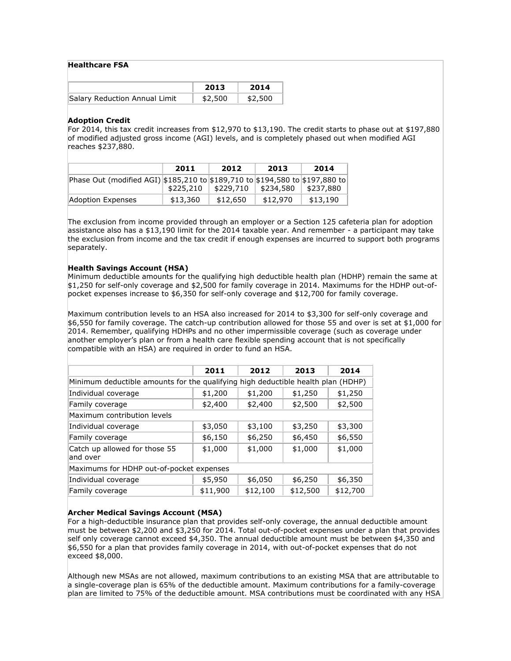#### **Healthcare FSA**

|                               | 2013    | 2014    |
|-------------------------------|---------|---------|
| Salary Reduction Annual Limit | \$2,500 | \$2,500 |

#### **Adoption Credit**

For 2014, this tax credit increases from \$12,970 to \$13,190. The credit starts to phase out at \$197,880 of modified adjusted gross income (AGI) levels, and is completely phased out when modified AGI reaches \$237,880.

|                                                                              | 2011      | 2012      | 2013      | 2014      |
|------------------------------------------------------------------------------|-----------|-----------|-----------|-----------|
| Phase Out (modified AGI) \$185,210 to \$189,710 to \$194,580 to \$197,880 to |           |           |           |           |
|                                                                              | \$225,210 | \$229,710 | \$234,580 | \$237,880 |
| Adoption Expenses                                                            | \$13,360  | \$12,650  | \$12,970  | \$13,190  |

The exclusion from income provided through an employer or a Section 125 cafeteria plan for adoption assistance also has a \$13,190 limit for the 2014 taxable year. And remember - a participant may take the exclusion from income and the tax credit if enough expenses are incurred to support both programs separately.

#### **Health Savings Account (HSA)**

Minimum deductible amounts for the qualifying high deductible health plan (HDHP) remain the same at \$1,250 for self-only coverage and \$2,500 for family coverage in 2014. Maximums for the HDHP out-ofpocket expenses increase to \$6,350 for self-only coverage and \$12,700 for family coverage.

Maximum contribution levels to an HSA also increased for 2014 to \$3,300 for self-only coverage and \$6,550 for family coverage. The catch-up contribution allowed for those 55 and over is set at \$1,000 for 2014. Remember, qualifying HDHPs and no other impermissible coverage (such as coverage under another employer's plan or from a health care flexible spending account that is not specifically compatible with an HSA) are required in order to fund an HSA.

|                                                                                  | 2011     | 2012     | 2013     | 2014     |  |  |
|----------------------------------------------------------------------------------|----------|----------|----------|----------|--|--|
| Minimum deductible amounts for the qualifying high deductible health plan (HDHP) |          |          |          |          |  |  |
| Individual coverage                                                              | \$1,200  | \$1,200  | \$1,250  | \$1,250  |  |  |
| Family coverage                                                                  | \$2,400  | \$2,400  | \$2,500  | \$2,500  |  |  |
| Maximum contribution levels                                                      |          |          |          |          |  |  |
| Individual coverage                                                              | \$3,050  | \$3,100  | \$3,250  | \$3,300  |  |  |
| Family coverage                                                                  | \$6,150  | \$6,250  | \$6,450  | \$6,550  |  |  |
| Catch up allowed for those 55<br>and over                                        | \$1,000  | \$1,000  | \$1,000  | \$1,000  |  |  |
| Maximums for HDHP out-of-pocket expenses                                         |          |          |          |          |  |  |
| Individual coverage                                                              | \$5,950  | \$6,050  | \$6,250  | \$6,350  |  |  |
| Family coverage                                                                  | \$11,900 | \$12,100 | \$12,500 | \$12,700 |  |  |

## **Archer Medical Savings Account (MSA)**

For a high-deductible insurance plan that provides self-only coverage, the annual deductible amount must be between \$2,200 and \$3,250 for 2014. Total out-of-pocket expenses under a plan that provides self only coverage cannot exceed \$4,350. The annual deductible amount must be between \$4,350 and \$6,550 for a plan that provides family coverage in 2014, with out-of-pocket expenses that do not exceed \$8,000.

Although new MSAs are not allowed, maximum contributions to an existing MSA that are attributable to a single-coverage plan is 65% of the deductible amount. Maximum contributions for a family-coverage plan are limited to 75% of the deductible amount. MSA contributions must be coordinated with any HSA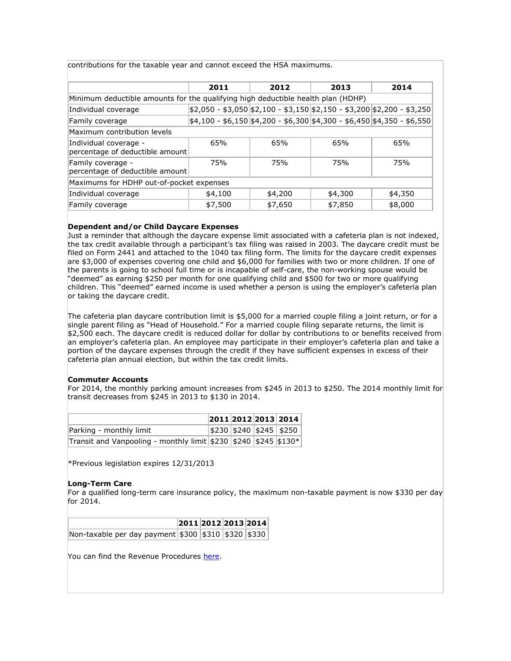contributions for the taxable year and cannot exceed the HSA maximums.

|                                                                                  | 2011    | 2012                                                                                | 2013    | 2014    |  |  |
|----------------------------------------------------------------------------------|---------|-------------------------------------------------------------------------------------|---------|---------|--|--|
| Minimum deductible amounts for the qualifying high deductible health plan (HDHP) |         |                                                                                     |         |         |  |  |
| Individual coverage                                                              |         | \$2,050 - \$3,050  \$2,100 - \$3,150  \$2,150 - \$3,200  \$2,200 - \$3,250          |         |         |  |  |
| Family coverage                                                                  |         | $\frac{1}{2}$ 4,100 - \$6,150 \$4,200 - \$6,300 \$4,300 - \$6,450 \$4,350 - \$6,550 |         |         |  |  |
| Maximum contribution levels                                                      |         |                                                                                     |         |         |  |  |
| Individual coverage -<br>percentage of deductible amount                         | 65%     | 65%                                                                                 | 65%     | 65%     |  |  |
| Family coverage -<br>percentage of deductible amount                             | 75%     | 75%                                                                                 | 75%     | 75%     |  |  |
| Maximums for HDHP out-of-pocket expenses                                         |         |                                                                                     |         |         |  |  |
| Individual coverage                                                              | \$4,100 | \$4,200                                                                             | \$4,300 | \$4,350 |  |  |
| Family coverage                                                                  | \$7,500 | \$7,650                                                                             | \$7,850 | \$8,000 |  |  |

#### **Dependent and/or Child Daycare Expenses**

Just a reminder that although the daycare expense limit associated with a cafeteria plan is not indexed, the tax credit available through a participant's tax filing was raised in 2003. The daycare credit must be filed on Form 2441 and attached to the 1040 tax filing form. The limits for the daycare credit expenses are \$3,000 of expenses covering one child and \$6,000 for families with two or more children. If one of the parents is going to school full time or is incapable of self-care, the non-working spouse would be "deemed" as earning \$250 per month for one qualifying child and \$500 for two or more qualifying children. This "deemed" earned income is used whether a person is using the employer's cafeteria plan or taking the daycare credit.

The cafeteria plan daycare contribution limit is \$5,000 for a married couple filing a joint return, or for a single parent filing as "Head of Household." For a married couple filing separate returns, the limit is \$2,500 each. The daycare credit is reduced dollar for dollar by contributions to or benefits received from an employer's cafeteria plan. An employee may participate in their employer's cafeteria plan and take a portion of the daycare expenses through the credit if they have sufficient expenses in excess of their cafeteria plan annual election, but within the tax credit limits.

#### **Commuter Accounts**

For 2014, the monthly parking amount increases from \$245 in 2013 to \$250. The 2014 monthly limit for transit decreases from \$245 in 2013 to \$130 in 2014.

|                                                                       |  | 2011 2012 2013 2014     |
|-----------------------------------------------------------------------|--|-------------------------|
| Parking - monthly limit                                               |  | \$230 \$240 \$245 \$250 |
| Transit and Vanpooling - monthly limit \$230   \$240   \$245   \$130* |  |                         |

\*Previous legislation expires 12/31/2013

#### **Long-Term Care**

For a qualified long-term care insurance policy, the maximum non-taxable payment is now \$330 per day for 2014.

|                                                     |  | 2011 2012 2013 2014 |  |
|-----------------------------------------------------|--|---------------------|--|
| Non-taxable per day payment \$300 \$310 \$320 \$330 |  |                     |  |

You can find the Revenue Procedures [here.](http://www.elabs7.com/c.html?ufl=9&rtr=on&s=awb8,13x6z,31oz,18aa,2ztr,cq0t,j9yu)